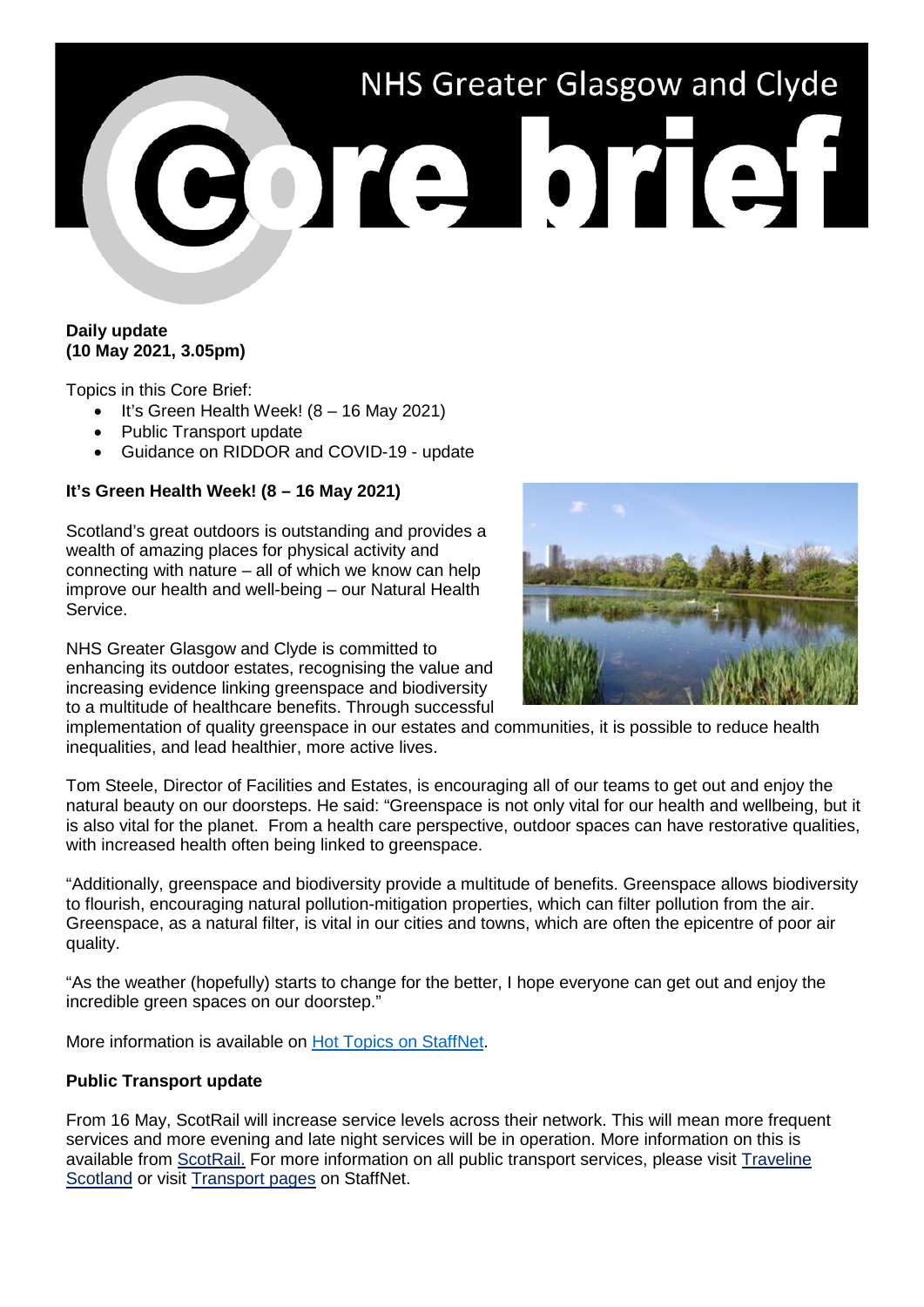# NHS Greater Glasgow and Clyde

## **Daily update (10 May 2021, 3.05pm)**

Topics in this Core Brief:

- It's Green Health Week! (8 16 May 2021)
- Public Transport update
- Guidance on RIDDOR and COVID-19 update

# **It's Green Health Week! (8 – 16 May 2021)**

Scotland's great outdoors is outstanding and provides a wealth of amazing places for physical activity and connecting with nature – all of which we know can help improve our health and well-being – our Natural Health Service.

NHS Greater Glasgow and Clyde is committed to enhancing its outdoor estates, recognising the value and increasing evidence linking greenspace and biodiversity to a multitude of healthcare benefits. Through successful



implementation of quality greenspace in our estates and communities, it is possible to reduce health inequalities, and lead healthier, more active lives.

Tom Steele, Director of Facilities and Estates, is encouraging all of our teams to get out and enjoy the natural beauty on our doorsteps. He said: "Greenspace is not only vital for our health and wellbeing, but it is also vital for the planet. From a health care perspective, outdoor spaces can have restorative qualities, with increased health often being linked to greenspace.

"Additionally, greenspace and biodiversity provide a multitude of benefits. Greenspace allows biodiversity to flourish, encouraging natural pollution-mitigation properties, which can filter pollution from the air. Greenspace, as a natural filter, is vital in our cities and towns, which are often the epicentre of poor air quality.

"As the weather (hopefully) starts to change for the better, I hope everyone can get out and enjoy the incredible green spaces on our doorstep."

More information is available on [Hot Topics on StaffNet.](http://www.staffnet.ggc.scot.nhs.uk/Corporate%20Services/Communications/Hot%20Topics/Pages/comms_GreenHealthWeek%E2%80%938to16May2021_LS070521.aspx)

#### **Public Transport update**

From 16 May, ScotRail will increase service levels across their network. This will mean more frequent services and more evening and late night services will be in operation. More information on this is available from [ScotRail.](https://www.scotrail.co.uk/) For more information on all public transport services, please visit [Traveline](https://www.travelinescotland.com/)  [Scotland](https://www.travelinescotland.com/) or visit [Transport pages](http://www.staffnet.ggc.scot.nhs.uk/Corporate%20Services/SupportServices/transport/Pages/TransportHomepage.aspx) on StaffNet.